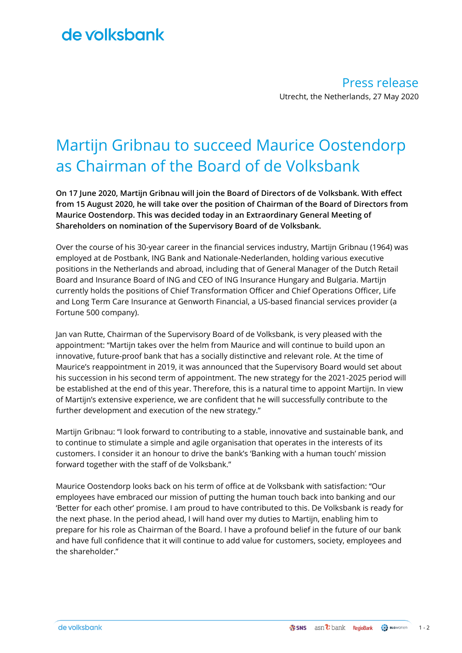## de volksbank

Press release Utrecht, the Netherlands, 27 May 2020

# Martijn Gribnau to succeed Maurice Oostendorp as Chairman of the Board of de Volksbank

**On 17 June 2020, Martijn Gribnau will join the Board of Directors of de Volksbank. With effect from 15 August 2020, he will take over the position of Chairman of the Board of Directors from Maurice Oostendorp. This was decided today in an Extraordinary General Meeting of Shareholders on nomination of the Supervisory Board of de Volksbank.**

Over the course of his 30-year career in the financial services industry, Martijn Gribnau (1964) was employed at de Postbank, ING Bank and Nationale-Nederlanden, holding various executive positions in the Netherlands and abroad, including that of General Manager of the Dutch Retail Board and Insurance Board of ING and CEO of ING Insurance Hungary and Bulgaria. Martijn currently holds the positions of Chief Transformation Officer and Chief Operations Officer, Life and Long Term Care Insurance at Genworth Financial, a US-based financial services provider (a Fortune 500 company).

Jan van Rutte, Chairman of the Supervisory Board of de Volksbank, is very pleased with the appointment: "Martijn takes over the helm from Maurice and will continue to build upon an innovative, future-proof bank that has a socially distinctive and relevant role. At the time of Maurice's reappointment in 2019, it was announced that the Supervisory Board would set about his succession in his second term of appointment. The new strategy for the 2021-2025 period will be established at the end of this year. Therefore, this is a natural time to appoint Martijn. In view of Martijn's extensive experience, we are confident that he will successfully contribute to the further development and execution of the new strategy."

Martijn Gribnau: "I look forward to contributing to a stable, innovative and sustainable bank, and to continue to stimulate a simple and agile organisation that operates in the interests of its customers. I consider it an honour to drive the bank's 'Banking with a human touch' mission forward together with the staff of de Volksbank."

Maurice Oostendorp looks back on his term of office at de Volksbank with satisfaction: "Our employees have embraced our mission of putting the human touch back into banking and our 'Better for each other' promise. I am proud to have contributed to this. De Volksbank is ready for the next phase. In the period ahead, I will hand over my duties to Martijn, enabling him to prepare for his role as Chairman of the Board. I have a profound belief in the future of our bank and have full confidence that it will continue to add value for customers, society, employees and the shareholder."